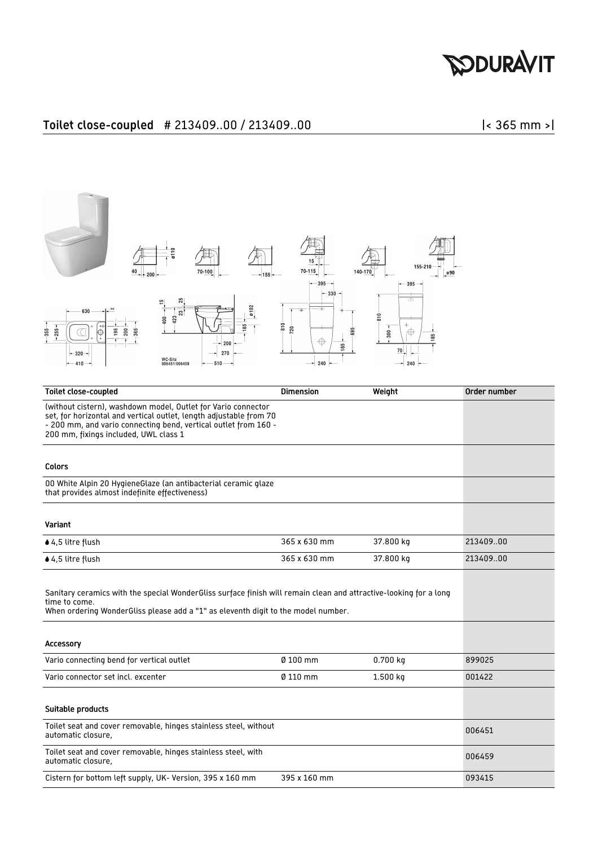## **DOURAVIT**

## Toilet close-coupled # 213409..00 / 213409..00 |< 365 mm >|



| <b>Toilet close-coupled</b>                                                                                                                                                                                                                     | <b>Dimension</b> | Weight     | Order number |
|-------------------------------------------------------------------------------------------------------------------------------------------------------------------------------------------------------------------------------------------------|------------------|------------|--------------|
| (without cistern), washdown model, Outlet for Vario connector<br>set, for horizontal and vertical outlet, length adjustable from 70<br>- 200 mm, and vario connecting bend, vertical outlet from 160 -<br>200 mm, fixings included, UWL class 1 |                  |            |              |
| Colors                                                                                                                                                                                                                                          |                  |            |              |
| 00 White Alpin 20 Hygiene Glaze (an antibacterial ceramic glaze<br>that provides almost indefinite effectiveness)                                                                                                                               |                  |            |              |
| Variant                                                                                                                                                                                                                                         |                  |            |              |
| ♦ 4,5 litre flush                                                                                                                                                                                                                               | 365 x 630 mm     | 37.800 kg  | 21340900     |
| $\triangle$ 4,5 litre flush                                                                                                                                                                                                                     | 365 x 630 mm     | 37.800 kg  | 21340900     |
| Sanitary ceramics with the special WonderGliss surface finish will remain clean and attractive-looking for a long<br>time to come.<br>When ordering WonderGliss please add a "1" as eleventh digit to the model number.<br>Accessory            |                  |            |              |
| Vario connecting bend for vertical outlet                                                                                                                                                                                                       | $0100$ mm        | $0.700$ kg | 899025       |
| Vario connector set incl. excenter                                                                                                                                                                                                              | Ø 110 mm         | 1.500 kg   | 001422       |
|                                                                                                                                                                                                                                                 |                  |            |              |
| Suitable products                                                                                                                                                                                                                               |                  |            |              |
| Toilet seat and cover removable, hinges stainless steel, without<br>automatic closure,                                                                                                                                                          |                  |            | 006451       |
| Toilet seat and cover removable, hinges stainless steel, with<br>automatic closure,                                                                                                                                                             |                  |            | 006459       |
| Cistern for bottom left supply, UK- Version, 395 x 160 mm                                                                                                                                                                                       | 395 x 160 mm     |            | 093415       |